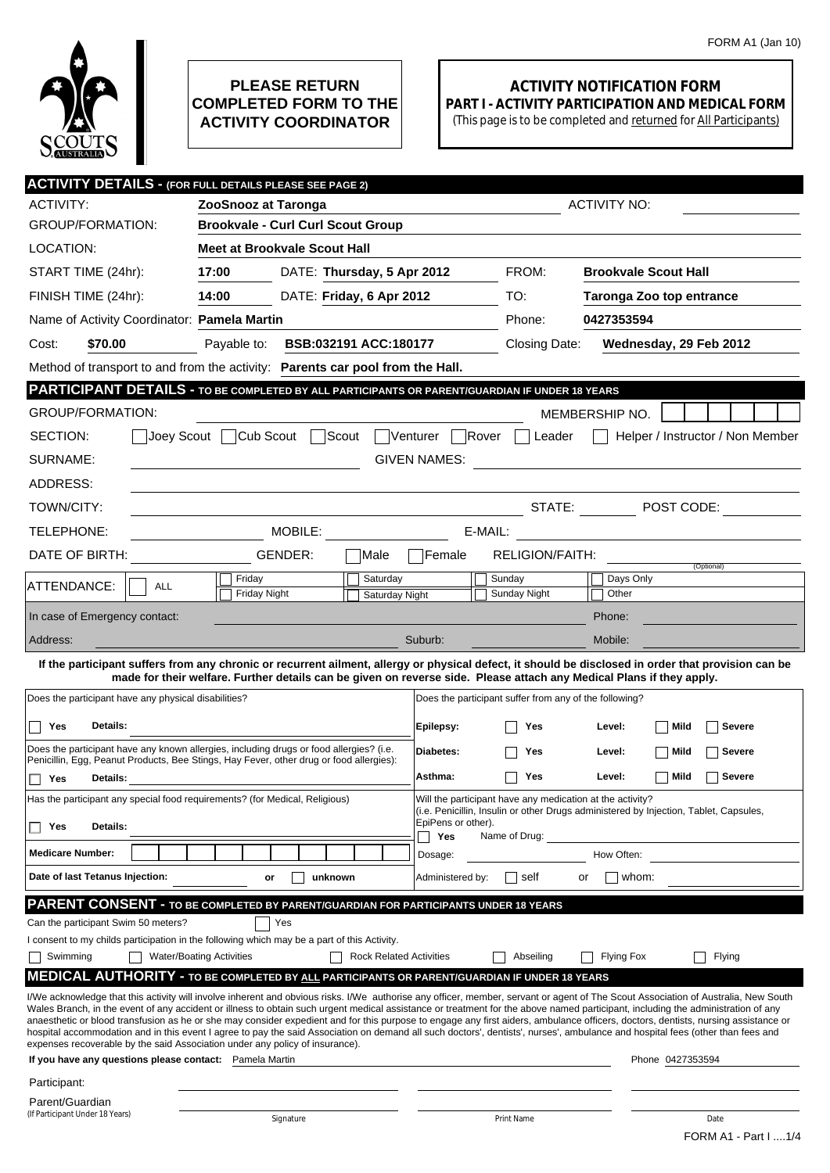

## **PLEASE RETURN COMPLETED FORM TO THE ACTIVITY COORDINATOR**

## **ACTIVITY NOTIFICATION FORM PART I - ACTIVITY PARTICIPATION AND MEDICAL FORM**

(This page is to be completed and returned for All Participants)

| <b>ACTIVITY DETAILS - (FOR FULL DETAILS PLEASE SEE PAGE 2)</b>                                          |                                                                                                                      |                                |                                                                                                                                                    |                                                        |                                                                                                                                                                                                                                                                                                                                                                        |  |  |  |  |
|---------------------------------------------------------------------------------------------------------|----------------------------------------------------------------------------------------------------------------------|--------------------------------|----------------------------------------------------------------------------------------------------------------------------------------------------|--------------------------------------------------------|------------------------------------------------------------------------------------------------------------------------------------------------------------------------------------------------------------------------------------------------------------------------------------------------------------------------------------------------------------------------|--|--|--|--|
| <b>ACTIVITY:</b>                                                                                        | ZooSnooz at Taronga                                                                                                  |                                |                                                                                                                                                    |                                                        | <b>ACTIVITY NO:</b>                                                                                                                                                                                                                                                                                                                                                    |  |  |  |  |
| <b>GROUP/FORMATION:</b>                                                                                 | <b>Brookvale - Curl Curl Scout Group</b>                                                                             |                                |                                                                                                                                                    |                                                        |                                                                                                                                                                                                                                                                                                                                                                        |  |  |  |  |
| LOCATION:                                                                                               | Meet at Brookvale Scout Hall                                                                                         |                                |                                                                                                                                                    |                                                        |                                                                                                                                                                                                                                                                                                                                                                        |  |  |  |  |
| START TIME (24hr):                                                                                      | 17:00                                                                                                                | DATE: Thursday, 5 Apr 2012     |                                                                                                                                                    | FROM:                                                  | <b>Brookvale Scout Hall</b>                                                                                                                                                                                                                                                                                                                                            |  |  |  |  |
| FINISH TIME (24hr):                                                                                     | 14:00                                                                                                                | DATE: Friday, 6 Apr 2012       |                                                                                                                                                    | TO:                                                    | <b>Taronga Zoo top entrance</b>                                                                                                                                                                                                                                                                                                                                        |  |  |  |  |
| Name of Activity Coordinator: Pamela Martin                                                             |                                                                                                                      |                                |                                                                                                                                                    | Phone:                                                 | 0427353594                                                                                                                                                                                                                                                                                                                                                             |  |  |  |  |
| \$70.00<br>Cost:                                                                                        | Payable to:                                                                                                          | BSB:032191 ACC:180177          |                                                                                                                                                    | Closing Date:                                          | Wednesday, 29 Feb 2012                                                                                                                                                                                                                                                                                                                                                 |  |  |  |  |
| Method of transport to and from the activity: Parents car pool from the Hall.                           |                                                                                                                      |                                |                                                                                                                                                    |                                                        |                                                                                                                                                                                                                                                                                                                                                                        |  |  |  |  |
| PARTICIPANT DETAILS - TO BE COMPLETED BY ALL PARTICIPANTS OR PARENT/GUARDIAN IF UNDER 18 YEARS          |                                                                                                                      |                                |                                                                                                                                                    |                                                        |                                                                                                                                                                                                                                                                                                                                                                        |  |  |  |  |
| <b>GROUP/FORMATION:</b>                                                                                 |                                                                                                                      |                                |                                                                                                                                                    |                                                        | MEMBERSHIP NO.                                                                                                                                                                                                                                                                                                                                                         |  |  |  |  |
| SECTION:                                                                                                | Joey Scout Cub Scout Scout                                                                                           |                                | Venturer Rover                                                                                                                                     | Leader                                                 | Helper / Instructor / Non Member                                                                                                                                                                                                                                                                                                                                       |  |  |  |  |
| SURNAME:<br><b>GIVEN NAMES:</b>                                                                         |                                                                                                                      |                                |                                                                                                                                                    |                                                        |                                                                                                                                                                                                                                                                                                                                                                        |  |  |  |  |
| ADDRESS:                                                                                                |                                                                                                                      |                                |                                                                                                                                                    |                                                        |                                                                                                                                                                                                                                                                                                                                                                        |  |  |  |  |
| TOWN/CITY:                                                                                              |                                                                                                                      |                                |                                                                                                                                                    |                                                        | STATE: $\blacksquare$ POST CODE:                                                                                                                                                                                                                                                                                                                                       |  |  |  |  |
| TELEPHONE:                                                                                              | MOBILE:                                                                                                              |                                |                                                                                                                                                    | E-MAIL:                                                | <u> 1989 - Jan Barbara Barbara, prima politik (</u>                                                                                                                                                                                                                                                                                                                    |  |  |  |  |
| DATE OF BIRTH:                                                                                          | GENDER:                                                                                                              | Male                           | Female                                                                                                                                             | RELIGION/FAITH:                                        |                                                                                                                                                                                                                                                                                                                                                                        |  |  |  |  |
| ATTENDANCE:<br>ALL                                                                                      | Friday                                                                                                               | Saturday                       |                                                                                                                                                    | Sunday                                                 | (Optional)<br>Days Only                                                                                                                                                                                                                                                                                                                                                |  |  |  |  |
|                                                                                                         | Friday Night                                                                                                         | <b>Saturday Night</b>          |                                                                                                                                                    | Sunday Night                                           | Other                                                                                                                                                                                                                                                                                                                                                                  |  |  |  |  |
| In case of Emergency contact:                                                                           |                                                                                                                      |                                |                                                                                                                                                    |                                                        | Phone:                                                                                                                                                                                                                                                                                                                                                                 |  |  |  |  |
| Address:                                                                                                |                                                                                                                      |                                | Suburb:                                                                                                                                            |                                                        | Mobile:                                                                                                                                                                                                                                                                                                                                                                |  |  |  |  |
|                                                                                                         | made for their welfare. Further details can be given on reverse side. Please attach any Medical Plans if they apply. |                                |                                                                                                                                                    |                                                        | If the participant suffers from any chronic or recurrent ailment, allergy or physical defect, it should be disclosed in order that provision can be                                                                                                                                                                                                                    |  |  |  |  |
| Does the participant have any physical disabilities?                                                    |                                                                                                                      |                                |                                                                                                                                                    | Does the participant suffer from any of the following? |                                                                                                                                                                                                                                                                                                                                                                        |  |  |  |  |
| Yes<br>Details:                                                                                         |                                                                                                                      |                                | Epilepsy:                                                                                                                                          | Yes                                                    | Mild<br>Severe<br>Level:                                                                                                                                                                                                                                                                                                                                               |  |  |  |  |
| Does the participant have any known allergies, including drugs or food allergies? (i.e.                 | Diabetes:                                                                                                            |                                | Mild<br>Level:                                                                                                                                     |                                                        |                                                                                                                                                                                                                                                                                                                                                                        |  |  |  |  |
| Penicillin, Egg, Peanut Products, Bee Stings, Hay Fever, other drug or food allergies):                 |                                                                                                                      |                                |                                                                                                                                                    | Yes                                                    | Severe                                                                                                                                                                                                                                                                                                                                                                 |  |  |  |  |
| Yes<br>Details:                                                                                         | Asthma:<br>Mild<br><b>Severe</b><br>Yes<br>Level:                                                                    |                                |                                                                                                                                                    |                                                        |                                                                                                                                                                                                                                                                                                                                                                        |  |  |  |  |
| Has the participant any special food requirements? (for Medical, Religious)                             |                                                                                                                      |                                | Will the participant have any medication at the activity?<br>(i.e. Penicillin, Insulin or other Drugs administered by Injection, Tablet, Capsules, |                                                        |                                                                                                                                                                                                                                                                                                                                                                        |  |  |  |  |
| <b>Details:</b><br>Yes                                                                                  |                                                                                                                      |                                | EpiPens or other).<br>Yes                                                                                                                          | Name of Drug:                                          |                                                                                                                                                                                                                                                                                                                                                                        |  |  |  |  |
| <b>Medicare Number:</b>                                                                                 |                                                                                                                      |                                | Dosage:                                                                                                                                            |                                                        | How Often:                                                                                                                                                                                                                                                                                                                                                             |  |  |  |  |
| Date of last Tetanus Injection:                                                                         | unknown<br>or                                                                                                        |                                | Administered by:                                                                                                                                   | self                                                   | whom:<br>or                                                                                                                                                                                                                                                                                                                                                            |  |  |  |  |
| <b>PARENT CONSENT - TO BE COMPLETED BY PARENT/GUARDIAN FOR PARTICIPANTS UNDER 18 YEARS</b>              |                                                                                                                      |                                |                                                                                                                                                    |                                                        |                                                                                                                                                                                                                                                                                                                                                                        |  |  |  |  |
| Can the participant Swim 50 meters?                                                                     | Yes                                                                                                                  |                                |                                                                                                                                                    |                                                        |                                                                                                                                                                                                                                                                                                                                                                        |  |  |  |  |
| I consent to my childs participation in the following which may be a part of this Activity.<br>Swimming | <b>Water/Boating Activities</b>                                                                                      | <b>Rock Related Activities</b> |                                                                                                                                                    | Abseiling                                              | <b>Flying Fox</b><br>Flying                                                                                                                                                                                                                                                                                                                                            |  |  |  |  |
| <b>MEDICAL AUTHORITY - TO BE COMPLETED BY ALL PARTICIPANTS OR PARENT/GUARDIAN IF UNDER 18 YEARS</b>     |                                                                                                                      |                                |                                                                                                                                                    |                                                        |                                                                                                                                                                                                                                                                                                                                                                        |  |  |  |  |
|                                                                                                         |                                                                                                                      |                                |                                                                                                                                                    |                                                        | I/We acknowledge that this activity will involve inherent and obvious risks. I/We authorise any officer, member, servant or agent of The Scout Association of Australia, New South                                                                                                                                                                                     |  |  |  |  |
|                                                                                                         |                                                                                                                      |                                |                                                                                                                                                    |                                                        | Wales Branch, in the event of any accident or illness to obtain such urgent medical assistance or treatment for the above named participant, including the administration of any<br>anaesthetic or blood transfusion as he or she may consider expedient and for this purpose to engage any first aiders, ambulance officers, doctors, dentists, nursing assistance or |  |  |  |  |
| expenses recoverable by the said Association under any policy of insurance).                            |                                                                                                                      |                                |                                                                                                                                                    |                                                        | hospital accommodation and in this event I agree to pay the said Association on demand all such doctors', dentists', nurses', ambulance and hospital fees (other than fees and                                                                                                                                                                                         |  |  |  |  |
| If you have any questions please contact: Pamela Martin                                                 |                                                                                                                      |                                |                                                                                                                                                    |                                                        | Phone 0427353594                                                                                                                                                                                                                                                                                                                                                       |  |  |  |  |
| Participant:                                                                                            |                                                                                                                      |                                |                                                                                                                                                    |                                                        |                                                                                                                                                                                                                                                                                                                                                                        |  |  |  |  |
| Parent/Guardian<br>(If Participant Under 18 Years)                                                      | Signature                                                                                                            |                                |                                                                                                                                                    | Print Name                                             | Date                                                                                                                                                                                                                                                                                                                                                                   |  |  |  |  |
|                                                                                                         |                                                                                                                      |                                |                                                                                                                                                    |                                                        | FORM A1 - Part I  1/4                                                                                                                                                                                                                                                                                                                                                  |  |  |  |  |